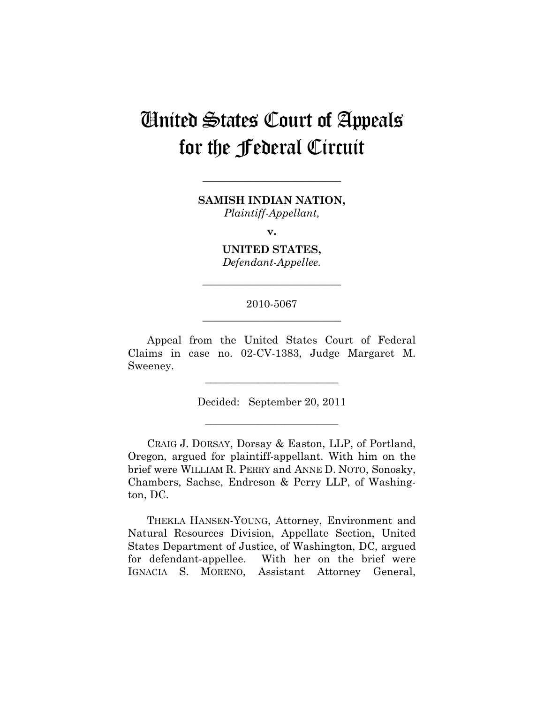# United States Court of Appeals for the Federal Circuit

**SAMISH INDIAN NATION,**  *Plaintiff-Appellant,* 

**\_\_\_\_\_\_\_\_\_\_\_\_\_\_\_\_\_\_\_\_\_\_\_\_\_\_** 

**v.** 

**UNITED STATES,**  *Defendant-Appellee.* 

**\_\_\_\_\_\_\_\_\_\_\_\_\_\_\_\_\_\_\_\_\_\_\_\_\_\_** 

# 2010-5067 **\_\_\_\_\_\_\_\_\_\_\_\_\_\_\_\_\_\_\_\_\_\_\_\_\_\_**

Appeal from the United States Court of Federal Claims in case no. 02-CV-1383, Judge Margaret M. Sweeney.

Decided: September 20, 2011

**\_\_\_\_\_\_\_\_\_\_\_\_\_\_\_\_\_\_\_\_\_\_\_\_\_** 

**\_\_\_\_\_\_\_\_\_\_\_\_\_\_\_\_\_\_\_\_\_\_\_\_\_** 

CRAIG J. DORSAY, Dorsay & Easton, LLP, of Portland, Oregon, argued for plaintiff-appellant. With him on the brief were WILLIAM R. PERRY and ANNE D. NOTO, Sonosky, Chambers, Sachse, Endreson & Perry LLP, of Washington, DC.

THEKLA HANSEN-YOUNG, Attorney, Environment and Natural Resources Division, Appellate Section, United States Department of Justice, of Washington, DC, argued for defendant-appellee. With her on the brief were IGNACIA S. MORENO, Assistant Attorney General,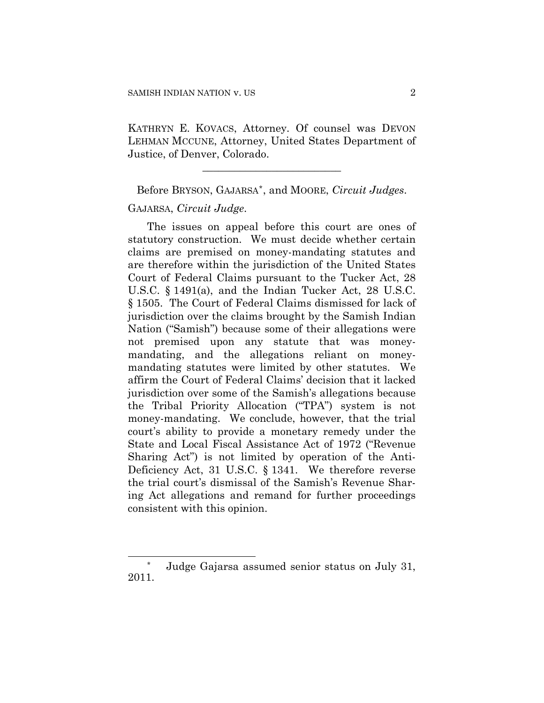KATHRYN E. KOVACS, Attorney. Of counsel was DEVON LEHMAN MCCUNE, Attorney, United States Department of Justice, of Denver, Colorado.

**\_\_\_\_\_\_\_\_\_\_\_\_\_\_\_\_\_\_\_\_\_\_\_\_\_\_** 

Before BRYSON, GAJARSA[\\*](#page-1-0), and MOORE, *Circuit Judges*. GAJARSA, *Circuit Judge*.

The issues on appeal before this court are ones of statutory construction. We must decide whether certain claims are premised on money-mandating statutes and are therefore within the jurisdiction of the United States Court of Federal Claims pursuant to the Tucker Act, 28 U.S.C. § 1491(a), and the Indian Tucker Act, 28 U.S.C. § 1505. The Court of Federal Claims dismissed for lack of jurisdiction over the claims brought by the Samish Indian Nation ("Samish") because some of their allegations were not premised upon any statute that was moneymandating, and the allegations reliant on moneymandating statutes were limited by other statutes. We affirm the Court of Federal Claims' decision that it lacked jurisdiction over some of the Samish's allegations because the Tribal Priority Allocation ("TPA") system is not money-mandating. We conclude, however, that the trial court's ability to provide a monetary remedy under the State and Local Fiscal Assistance Act of 1972 ("Revenue Sharing Act") is not limited by operation of the Anti-Deficiency Act, 31 U.S.C. § 1341. We therefore reverse the trial court's dismissal of the Samish's Revenue Sharing Act allegations and remand for further proceedings consistent with this opinion.

 $\overline{a}$ 

<span id="page-1-0"></span>Judge Gajarsa assumed senior status on July 31, 2011.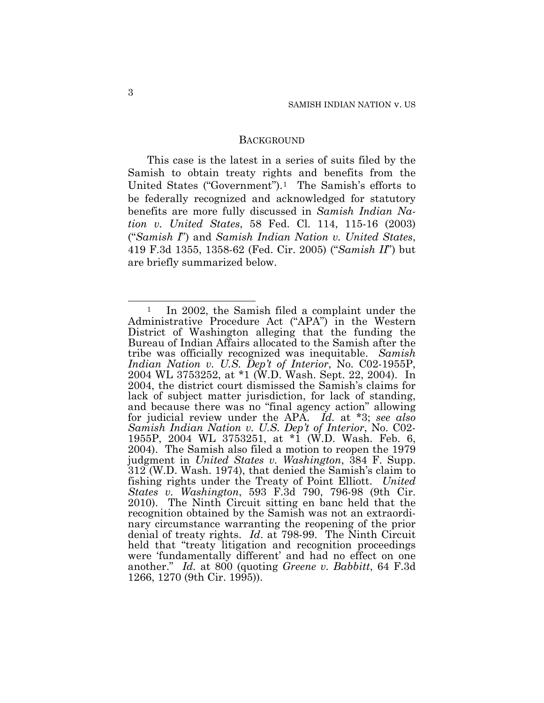#### **BACKGROUND**

This case is the latest in a series of suits filed by the Samish to obtain treaty rights and benefits from the United States ("Government").[1](#page-2-0) The Samish's efforts to be federally recognized and acknowledged for statutory benefits are more fully discussed in *Samish Indian Nation v. United States*, 58 Fed. Cl. 114, 115-16 (2003) ("*Samish I*") and *Samish Indian Nation v. United States*, 419 F.3d 1355, 1358-62 (Fed. Cir. 2005) ("*Samish II*") but are briefly summarized below.

<span id="page-2-0"></span> $\overline{a}$ In 2002, the Samish filed a complaint under the Administrative Procedure Act ("APA") in the Western District of Washington alleging that the funding the Bureau of Indian Affairs allocated to the Samish after the tribe was officially recognized was inequitable. *Samish Indian Nation v. U.S. Dep't of Interior*, No. C02-1955P, 2004 WL 3753252, at \*1 (W.D. Wash. Sept. 22, 2004). In 2004, the district court dismissed the Samish's claims for lack of subject matter jurisdiction, for lack of standing, and because there was no "final agency action" allowing for judicial review under the APA. *Id.* at \*3; *see also Samish Indian Nation v. U.S. Dep't of Interior*, No. C02- 1955P, 2004 WL 3753251, at \*1 (W.D. Wash. Feb. 6, 2004). The Samish also filed a motion to reopen the 1979 judgment in *United States v. Washington*, 384 F. Supp. 312 (W.D. Wash. 1974), that denied the Samish's claim to fishing rights under the Treaty of Point Elliott. *United States v. Washington*, 593 F.3d 790, 796-98 (9th Cir. 2010). The Ninth Circuit sitting en banc held that the recognition obtained by the Samish was not an extraordinary circumstance warranting the reopening of the prior denial of treaty rights. *Id*. at 798-99. The Ninth Circuit held that "treaty litigation and recognition proceedings were 'fundamentally different' and had no effect on one another." *Id.* at 800 (quoting *Greene v. Babbitt*, 64 F.3d 1266, 1270 (9th Cir. 1995)).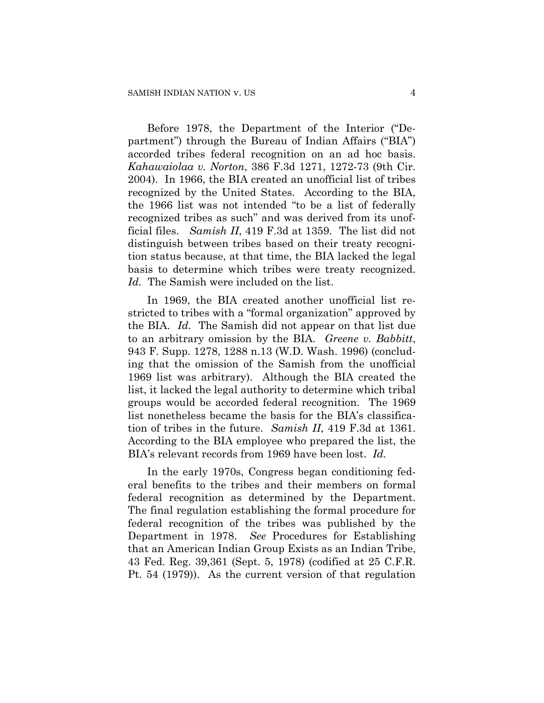Before 1978, the Department of the Interior ("Department") through the Bureau of Indian Affairs ("BIA") accorded tribes federal recognition on an ad hoc basis. *Kahawaiolaa v. Norton*, 386 F.3d 1271, 1272-73 (9th Cir. 2004). In 1966, the BIA created an unofficial list of tribes recognized by the United States. According to the BIA, the 1966 list was not intended "to be a list of federally recognized tribes as such" and was derived from its unofficial files. *Samish II*, 419 F.3d at 1359. The list did not distinguish between tribes based on their treaty recognition status because, at that time, the BIA lacked the legal basis to determine which tribes were treaty recognized. *Id.* The Samish were included on the list.

In 1969, the BIA created another unofficial list restricted to tribes with a "formal organization" approved by the BIA. *Id.* The Samish did not appear on that list due to an arbitrary omission by the BIA. *Greene v. Babbitt*, 943 F. Supp. 1278, 1288 n.13 (W.D. Wash. 1996) (concluding that the omission of the Samish from the unofficial 1969 list was arbitrary). Although the BIA created the list, it lacked the legal authority to determine which tribal groups would be accorded federal recognition. The 1969 list nonetheless became the basis for the BIA's classification of tribes in the future. *Samish II*, 419 F.3d at 1361. According to the BIA employee who prepared the list, the BIA's relevant records from 1969 have been lost. *Id.*

In the early 1970s, Congress began conditioning federal benefits to the tribes and their members on formal federal recognition as determined by the Department. The final regulation establishing the formal procedure for federal recognition of the tribes was published by the Department in 1978. *See* Procedures for Establishing that an American Indian Group Exists as an Indian Tribe, 43 Fed. Reg. 39,361 (Sept. 5, 1978) (codified at 25 C.F.R. Pt. 54 (1979)). As the current version of that regulation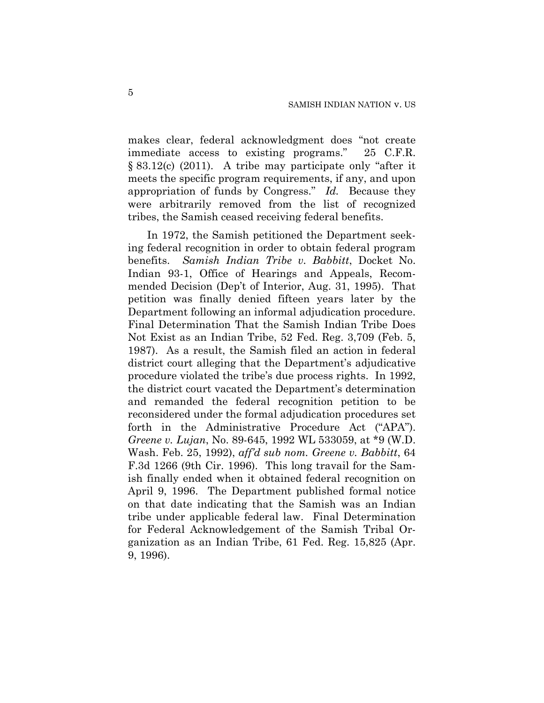makes clear, federal acknowledgment does "not create immediate access to existing programs." 25 C.F.R. § 83.12(c) (2011). A tribe may participate only "after it meets the specific program requirements, if any, and upon appropriation of funds by Congress." *Id.* Because they were arbitrarily removed from the list of recognized tribes, the Samish ceased receiving federal benefits.

In 1972, the Samish petitioned the Department seeking federal recognition in order to obtain federal program benefits. *Samish Indian Tribe v. Babbitt*, Docket No. Indian 93-1, Office of Hearings and Appeals, Recommended Decision (Dep't of Interior, Aug. 31, 1995). That petition was finally denied fifteen years later by the Department following an informal adjudication procedure. Final Determination That the Samish Indian Tribe Does Not Exist as an Indian Tribe, 52 Fed. Reg. 3,709 (Feb. 5, 1987). As a result, the Samish filed an action in federal district court alleging that the Department's adjudicative procedure violated the tribe's due process rights. In 1992, the district court vacated the Department's determination and remanded the federal recognition petition to be reconsidered under the formal adjudication procedures set forth in the Administrative Procedure Act ("APA"). *Greene v. Lujan*, No. 89-645, 1992 WL 533059, at \*9 (W.D. Wash. Feb. 25, 1992), *aff'd sub nom. Greene v. Babbitt*, 64 F.3d 1266 (9th Cir. 1996). This long travail for the Samish finally ended when it obtained federal recognition on April 9, 1996. The Department published formal notice on that date indicating that the Samish was an Indian tribe under applicable federal law. Final Determination for Federal Acknowledgement of the Samish Tribal Organization as an Indian Tribe, 61 Fed. Reg. 15,825 (Apr. 9, 1996).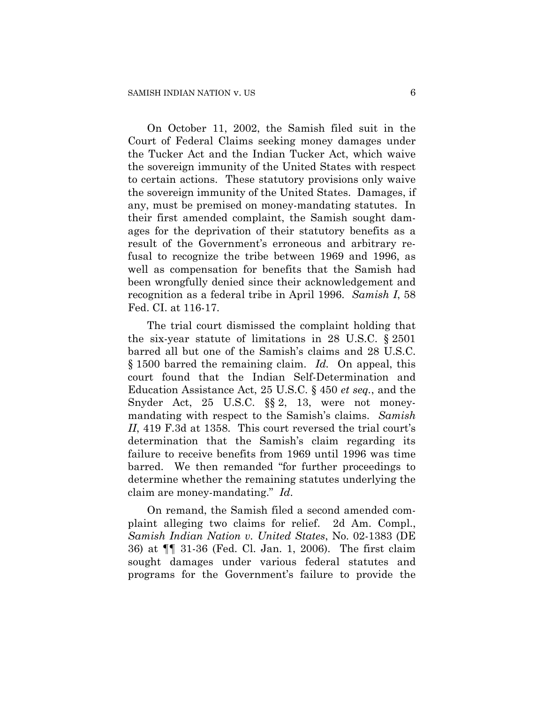On October 11, 2002, the Samish filed suit in the Court of Federal Claims seeking money damages under the Tucker Act and the Indian Tucker Act, which waive the sovereign immunity of the United States with respect to certain actions. These statutory provisions only waive the sovereign immunity of the United States. Damages, if any, must be premised on money-mandating statutes. In their first amended complaint, the Samish sought damages for the deprivation of their statutory benefits as a result of the Government's erroneous and arbitrary refusal to recognize the tribe between 1969 and 1996, as well as compensation for benefits that the Samish had been wrongfully denied since their acknowledgement and recognition as a federal tribe in April 1996. *Samish I*, 58 Fed. CI. at 116-17.

The trial court dismissed the complaint holding that the six-year statute of limitations in 28 U.S.C. § 2501 barred all but one of the Samish's claims and 28 U.S.C. § 1500 barred the remaining claim. *Id.* On appeal, this court found that the Indian Self-Determination and Education Assistance Act, 25 U.S.C. § 450 *et seq.*, and the Snyder Act, 25 U.S.C. §§ 2, 13, were not moneymandating with respect to the Samish's claims. *Samish II*, 419 F.3d at 1358. This court reversed the trial court's determination that the Samish's claim regarding its failure to receive benefits from 1969 until 1996 was time barred. We then remanded "for further proceedings to determine whether the remaining statutes underlying the claim are money-mandating." *Id*.

On remand, the Samish filed a second amended complaint alleging two claims for relief. 2d Am. Compl., *Samish Indian Nation v. United States*, No. 02-1383 (DE 36) at ¶¶ 31-36 (Fed. Cl. Jan. 1, 2006). The first claim sought damages under various federal statutes and programs for the Government's failure to provide the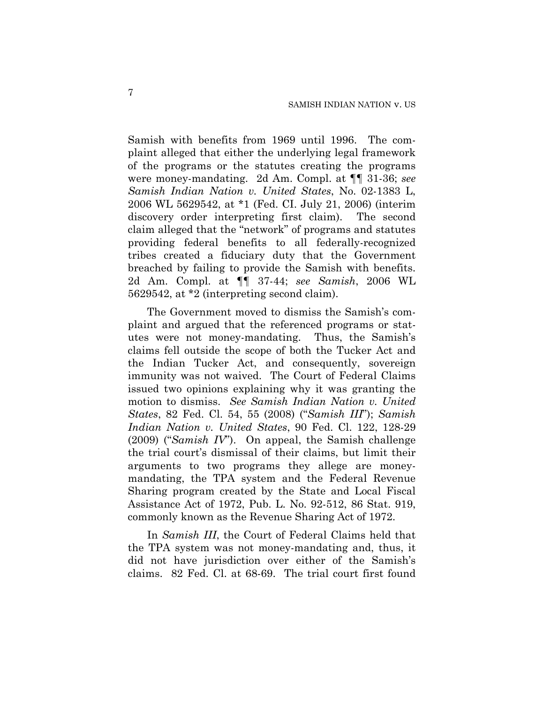Samish with benefits from 1969 until 1996. The complaint alleged that either the underlying legal framework of the programs or the statutes creating the programs were money-mandating. 2d Am. Compl. at ¶¶ 31-36; *see Samish Indian Nation v. United States*, No. 02-1383 L, 2006 WL 5629542, at \*1 (Fed. CI. July 21, 2006) (interim discovery order interpreting first claim). The second claim alleged that the "network" of programs and statutes providing federal benefits to all federally-recognized tribes created a fiduciary duty that the Government breached by failing to provide the Samish with benefits. 2d Am. Compl. at ¶¶ 37-44; *see Samish*, 2006 WL 5629542, at \*2 (interpreting second claim).

The Government moved to dismiss the Samish's complaint and argued that the referenced programs or statutes were not money-mandating. Thus, the Samish's claims fell outside the scope of both the Tucker Act and the Indian Tucker Act, and consequently, sovereign immunity was not waived. The Court of Federal Claims issued two opinions explaining why it was granting the motion to dismiss. *See Samish Indian Nation v. United States*, 82 Fed. Cl. 54, 55 (2008) ("*Samish III*"); *Samish Indian Nation v. United States*, 90 Fed. Cl. 122, 128-29 (2009) ("*Samish IV*"). On appeal, the Samish challenge the trial court's dismissal of their claims, but limit their arguments to two programs they allege are moneymandating, the TPA system and the Federal Revenue Sharing program created by the State and Local Fiscal Assistance Act of 1972, Pub. L. No. 92-512, 86 Stat. 919, commonly known as the Revenue Sharing Act of 1972.

In *Samish III*, the Court of Federal Claims held that the TPA system was not money-mandating and, thus, it did not have jurisdiction over either of the Samish's claims. 82 Fed. Cl. at 68-69. The trial court first found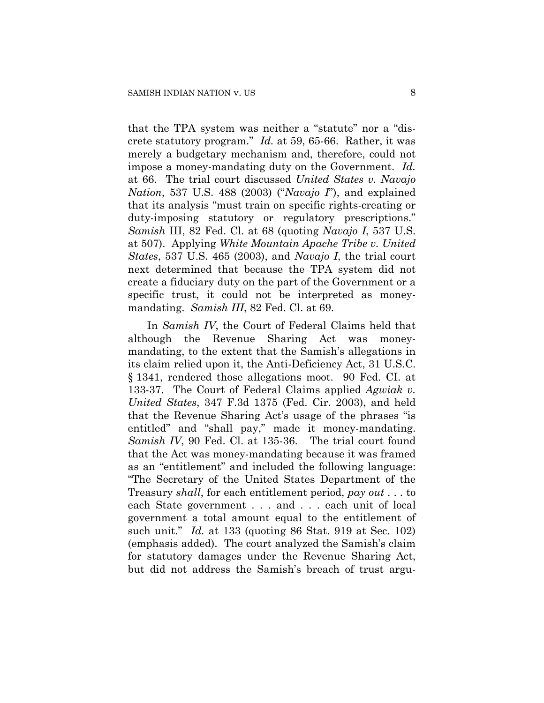that the TPA system was neither a "statute" nor a "discrete statutory program." *Id.* at 59, 65-66. Rather, it was merely a budgetary mechanism and, therefore, could not impose a money-mandating duty on the Government. *Id.* at 66. The trial court discussed *United States v. Navajo Nation*, 537 U.S. 488 (2003) ("*Navajo I*"), and explained that its analysis "must train on specific rights-creating or duty-imposing statutory or regulatory prescriptions." *Samish* III, 82 Fed. Cl. at 68 (quoting *Navajo I*, 537 U.S. at 507). Applying *White Mountain Apache Tribe v. United States*, 537 U.S. 465 (2003), and *Navajo I*, the trial court next determined that because the TPA system did not create a fiduciary duty on the part of the Government or a specific trust, it could not be interpreted as moneymandating. *Samish III*, 82 Fed. Cl. at 69.

In *Samish IV*, the Court of Federal Claims held that although the Revenue Sharing Act was moneymandating, to the extent that the Samish's allegations in its claim relied upon it, the Anti-Deficiency Act, 31 U.S.C. § 1341, rendered those allegations moot. 90 Fed. CI. at 133-37. The Court of Federal Claims applied *Agwiak v. United States*, 347 F.3d 1375 (Fed. Cir. 2003), and held that the Revenue Sharing Act's usage of the phrases "is entitled" and "shall pay," made it money-mandating. *Samish IV*, 90 Fed. Cl. at 135-36. The trial court found that the Act was money-mandating because it was framed as an "entitlement" and included the following language: "The Secretary of the United States Department of the Treasury *shall*, for each entitlement period, *pay out* . . . to each State government . . . and . . . each unit of local government a total amount equal to the entitlement of such unit." *Id.* at 133 (quoting 86 Stat. 919 at Sec. 102) (emphasis added). The court analyzed the Samish's claim for statutory damages under the Revenue Sharing Act, but did not address the Samish's breach of trust argu-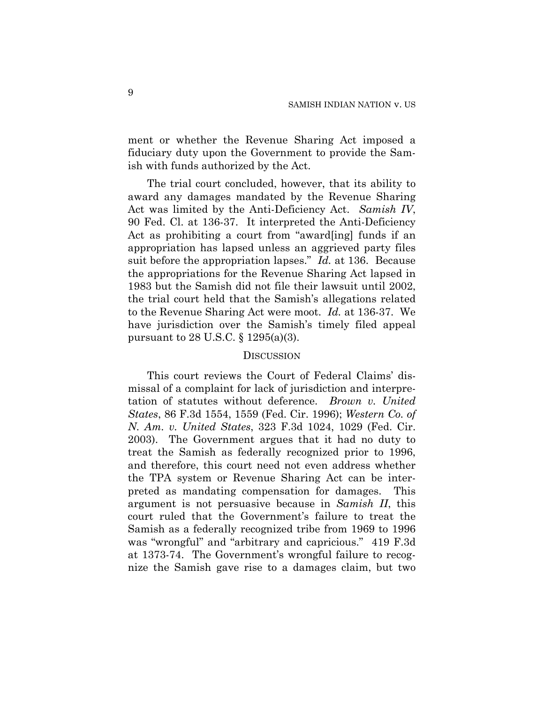ment or whether the Revenue Sharing Act imposed a fiduciary duty upon the Government to provide the Samish with funds authorized by the Act.

The trial court concluded, however, that its ability to award any damages mandated by the Revenue Sharing Act was limited by the Anti-Deficiency Act. *Samish IV*, 90 Fed. Cl. at 136-37. It interpreted the Anti-Deficiency Act as prohibiting a court from "award[ing] funds if an appropriation has lapsed unless an aggrieved party files suit before the appropriation lapses." *Id.* at 136. Because the appropriations for the Revenue Sharing Act lapsed in 1983 but the Samish did not file their lawsuit until 2002, the trial court held that the Samish's allegations related to the Revenue Sharing Act were moot. *Id.* at 136-37. We have jurisdiction over the Samish's timely filed appeal pursuant to 28 U.S.C. § 1295(a)(3).

### **DISCUSSION**

This court reviews the Court of Federal Claims' dismissal of a complaint for lack of jurisdiction and interpretation of statutes without deference. *Brown v. United States*, 86 F.3d 1554, 1559 (Fed. Cir. 1996); *Western Co. of N. Am. v. United States*, 323 F.3d 1024, 1029 (Fed. Cir. 2003). The Government argues that it had no duty to treat the Samish as federally recognized prior to 1996, and therefore, this court need not even address whether the TPA system or Revenue Sharing Act can be interpreted as mandating compensation for damages.This argument is not persuasive because in *Samish II*, this court ruled that the Government's failure to treat the Samish as a federally recognized tribe from 1969 to 1996 was "wrongful" and "arbitrary and capricious." 419 F.3d at 1373-74. The Government's wrongful failure to recognize the Samish gave rise to a damages claim, but two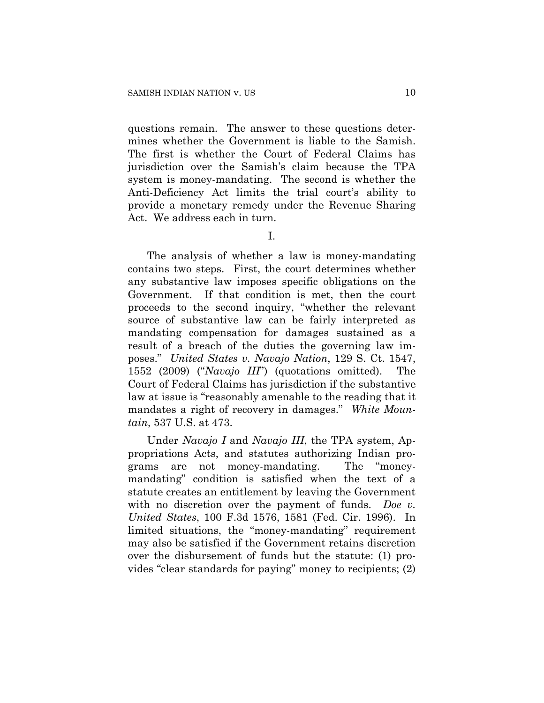questions remain. The answer to these questions determines whether the Government is liable to the Samish. The first is whether the Court of Federal Claims has jurisdiction over the Samish's claim because the TPA system is money-mandating. The second is whether the Anti-Deficiency Act limits the trial court's ability to provide a monetary remedy under the Revenue Sharing Act. We address each in turn.

I.

The analysis of whether a law is money-mandating contains two steps. First, the court determines whether any substantive law imposes specific obligations on the Government. If that condition is met, then the court proceeds to the second inquiry, "whether the relevant source of substantive law can be fairly interpreted as mandating compensation for damages sustained as a result of a breach of the duties the governing law imposes." *United States v. Navajo Nation*, 129 S. Ct. 1547, 1552 (2009) ("*Navajo III*") (quotations omitted). The Court of Federal Claims has jurisdiction if the substantive law at issue is "reasonably amenable to the reading that it mandates a right of recovery in damages." *White Mountain*, 537 U.S. at 473.

Under *Navajo I* and *Navajo III*, the TPA system, Appropriations Acts, and statutes authorizing Indian programs are not money-mandating. The "moneymandating" condition is satisfied when the text of a statute creates an entitlement by leaving the Government with no discretion over the payment of funds. *Doe v. United States*, 100 F.3d 1576, 1581 (Fed. Cir. 1996). In limited situations, the "money-mandating" requirement may also be satisfied if the Government retains discretion over the disbursement of funds but the statute: (1) provides "clear standards for paying" money to recipients; (2)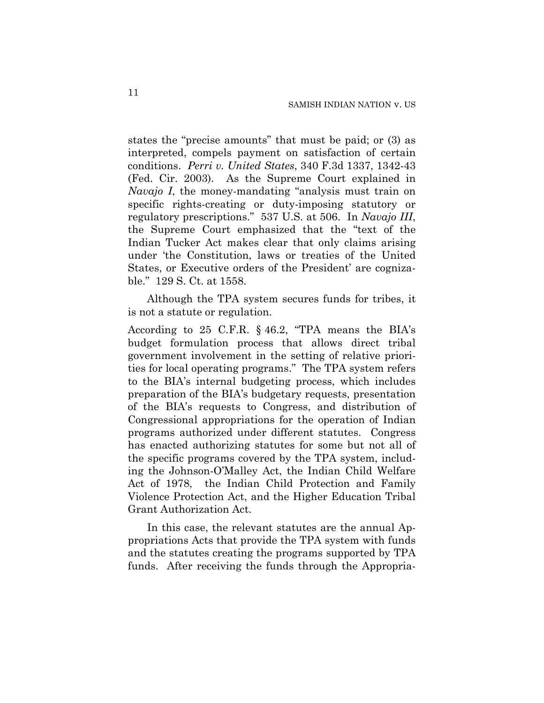states the "precise amounts" that must be paid; or (3) as interpreted, compels payment on satisfaction of certain conditions. *Perri v. United States*, 340 F.3d 1337, 1342-43 (Fed. Cir. 2003). As the Supreme Court explained in *Navajo I*, the money-mandating "analysis must train on specific rights-creating or duty-imposing statutory or regulatory prescriptions." 537 U.S. at 506. In *Navajo III*, the Supreme Court emphasized that the "text of the Indian Tucker Act makes clear that only claims arising under 'the Constitution, laws or treaties of the United States, or Executive orders of the President' are cognizable." 129 S. Ct. at 1558.

Although the TPA system secures funds for tribes, it is not a statute or regulation.

According to 25 C.F.R. § 46.2, "TPA means the BIA's budget formulation process that allows direct tribal government involvement in the setting of relative priorities for local operating programs." The TPA system refers to the BIA's internal budgeting process, which includes preparation of the BIA's budgetary requests, presentation of the BIA's requests to Congress, and distribution of Congressional appropriations for the operation of Indian programs authorized under different statutes. Congress has enacted authorizing statutes for some but not all of the specific programs covered by the TPA system, including the Johnson-O'Malley Act, the Indian Child Welfare Act of 1978, the Indian Child Protection and Family Violence Protection Act, and the Higher Education Tribal Grant Authorization Act.

In this case, the relevant statutes are the annual Appropriations Acts that provide the TPA system with funds and the statutes creating the programs supported by TPA funds. After receiving the funds through the Appropria-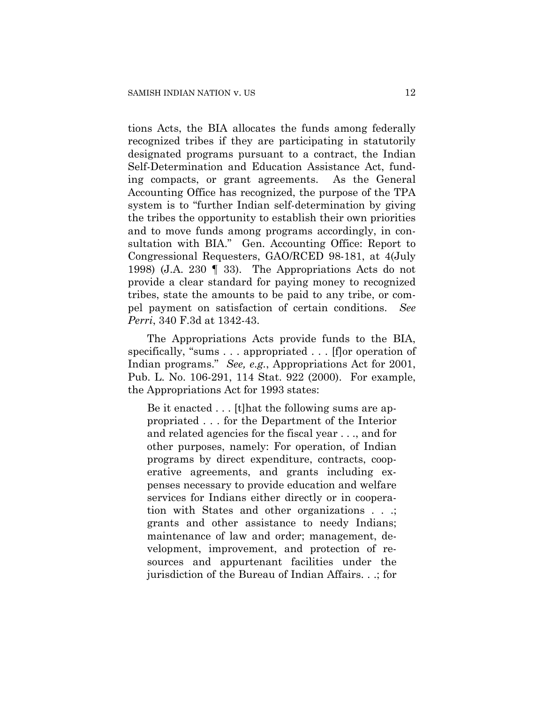tions Acts, the BIA allocates the funds among federally recognized tribes if they are participating in statutorily designated programs pursuant to a contract, the Indian Self-Determination and Education Assistance Act, funding compacts, or grant agreements. As the General Accounting Office has recognized, the purpose of the TPA system is to "further Indian self-determination by giving the tribes the opportunity to establish their own priorities and to move funds among programs accordingly, in consultation with BIA." Gen. Accounting Office: Report to Congressional Requesters, GAO/RCED 98-181, at 4(July 1998) (J.A. 230 ¶ 33). The Appropriations Acts do not provide a clear standard for paying money to recognized tribes, state the amounts to be paid to any tribe, or compel payment on satisfaction of certain conditions. *See Perri*, 340 F.3d at 1342-43.

The Appropriations Acts provide funds to the BIA, specifically, "sums . . . appropriated . . . [f]or operation of Indian programs." *See, e.g.*, Appropriations Act for 2001, Pub. L. No. 106-291, 114 Stat. 922 (2000). For example, the Appropriations Act for 1993 states:

Be it enacted . . . [t]hat the following sums are appropriated . . . for the Department of the Interior and related agencies for the fiscal year . . ., and for other purposes, namely: For operation, of Indian programs by direct expenditure, contracts, cooperative agreements, and grants including expenses necessary to provide education and welfare services for Indians either directly or in cooperation with States and other organizations . . .; grants and other assistance to needy Indians; maintenance of law and order; management, development, improvement, and protection of resources and appurtenant facilities under the jurisdiction of the Bureau of Indian Affairs. . .; for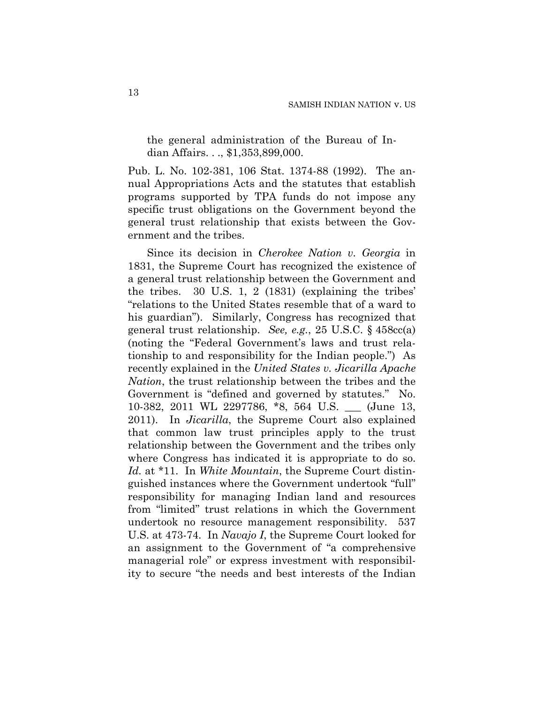the general administration of the Bureau of Indian Affairs. . ., \$1,353,899,000.

Pub. L. No. 102-381, 106 Stat. 1374-88 (1992). The annual Appropriations Acts and the statutes that establish programs supported by TPA funds do not impose any specific trust obligations on the Government beyond the general trust relationship that exists between the Government and the tribes.

Since its decision in *Cherokee Nation v. Georgia* in 1831, the Supreme Court has recognized the existence of a general trust relationship between the Government and the tribes. 30 U.S. 1, 2 (1831) (explaining the tribes' "relations to the United States resemble that of a ward to his guardian"). Similarly, Congress has recognized that general trust relationship. *See, e.g.*, 25 U.S.C. § 458cc(a) (noting the "Federal Government's laws and trust relationship to and responsibility for the Indian people.") As recently explained in the *United States v. Jicarilla Apache Nation*, the trust relationship between the tribes and the Government is "defined and governed by statutes." No. 10-382, 2011 WL 2297786, \*8, 564 U.S. \_\_\_ (June 13, 2011). In *Jicarilla*, the Supreme Court also explained that common law trust principles apply to the trust relationship between the Government and the tribes only where Congress has indicated it is appropriate to do so. *Id.* at \*11. In *White Mountain*, the Supreme Court distinguished instances where the Government undertook "full" responsibility for managing Indian land and resources from "limited" trust relations in which the Government undertook no resource management responsibility. 537 U.S. at 473-74. In *Navajo I*, the Supreme Court looked for an assignment to the Government of "a comprehensive managerial role" or express investment with responsibility to secure "the needs and best interests of the Indian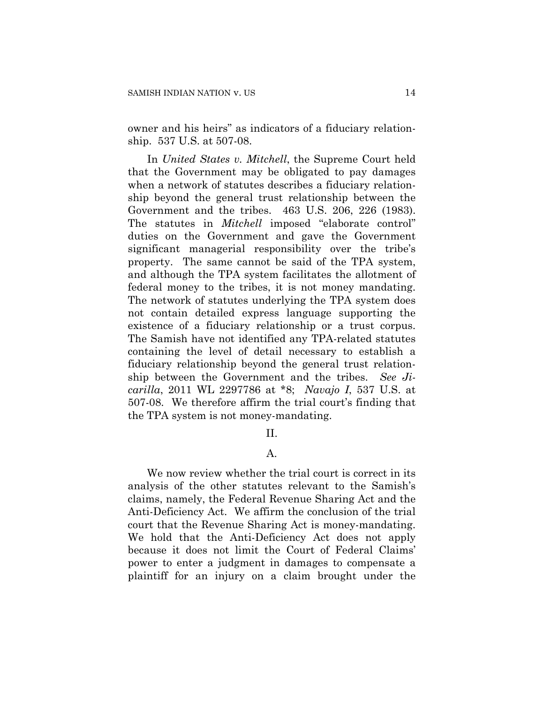owner and his heirs" as indicators of a fiduciary relationship. 537 U.S. at 507-08.

In *United States v. Mitchell*, the Supreme Court held that the Government may be obligated to pay damages when a network of statutes describes a fiduciary relationship beyond the general trust relationship between the Government and the tribes. 463 U.S. 206, 226 (1983). The statutes in *Mitchell* imposed "elaborate control" duties on the Government and gave the Government significant managerial responsibility over the tribe's property. The same cannot be said of the TPA system, and although the TPA system facilitates the allotment of federal money to the tribes, it is not money mandating. The network of statutes underlying the TPA system does not contain detailed express language supporting the existence of a fiduciary relationship or a trust corpus. The Samish have not identified any TPA-related statutes containing the level of detail necessary to establish a fiduciary relationship beyond the general trust relationship between the Government and the tribes. *See Jicarilla*, 2011 WL 2297786 at \*8; *Navajo I*, 537 U.S. at 507-08. We therefore affirm the trial court's finding that the TPA system is not money-mandating.

II.

# A.

We now review whether the trial court is correct in its analysis of the other statutes relevant to the Samish's claims, namely, the Federal Revenue Sharing Act and the Anti-Deficiency Act. We affirm the conclusion of the trial court that the Revenue Sharing Act is money-mandating. We hold that the Anti-Deficiency Act does not apply because it does not limit the Court of Federal Claims' power to enter a judgment in damages to compensate a plaintiff for an injury on a claim brought under the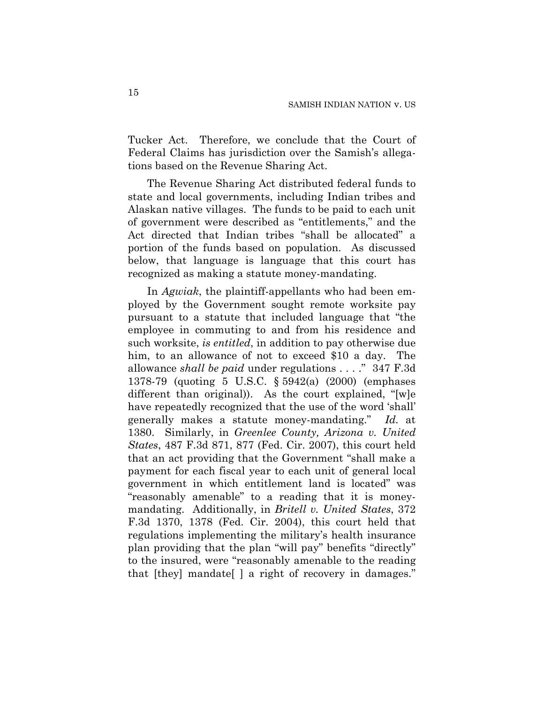Tucker Act. Therefore, we conclude that the Court of Federal Claims has jurisdiction over the Samish's allegations based on the Revenue Sharing Act.

The Revenue Sharing Act distributed federal funds to state and local governments, including Indian tribes and Alaskan native villages. The funds to be paid to each unit of government were described as "entitlements," and the Act directed that Indian tribes "shall be allocated" a portion of the funds based on population. As discussed below, that language is language that this court has recognized as making a statute money-mandating.

In *Agwiak*, the plaintiff-appellants who had been employed by the Government sought remote worksite pay pursuant to a statute that included language that "the employee in commuting to and from his residence and such worksite, *is entitled*, in addition to pay otherwise due him, to an allowance of not to exceed \$10 a day. The allowance *shall be paid* under regulations . . . ." 347 F.3d 1378-79 (quoting 5 U.S.C. § 5942(a) (2000) (emphases different than original)). As the court explained, "[w]e have repeatedly recognized that the use of the word 'shall' generally makes a statute money-mandating." *Id.* at 1380. Similarly, in *Greenlee County, Arizona v. United States*, 487 F.3d 871, 877 (Fed. Cir. 2007), this court held that an act providing that the Government "shall make a payment for each fiscal year to each unit of general local government in which entitlement land is located" was "reasonably amenable" to a reading that it is moneymandating. Additionally, in *Britell v. United States*, 372 F.3d 1370, 1378 (Fed. Cir. 2004), this court held that regulations implementing the military's health insurance plan providing that the plan "will pay" benefits "directly" to the insured, were "reasonably amenable to the reading that [they] mandate[ ] a right of recovery in damages."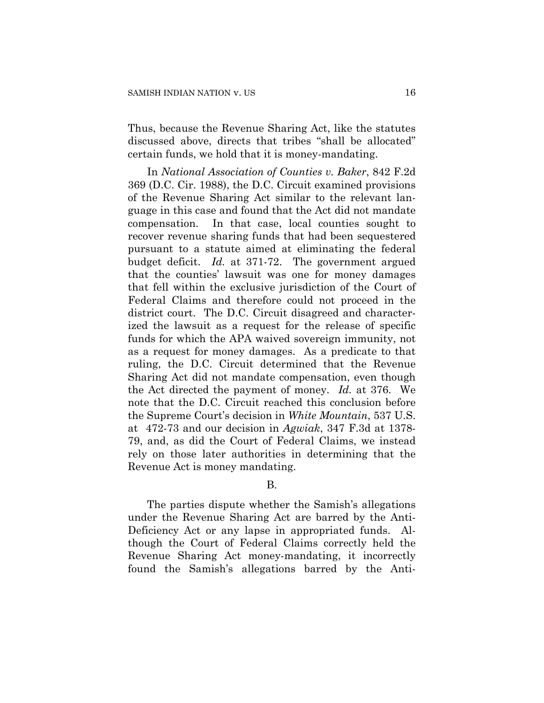Thus, because the Revenue Sharing Act, like the statutes discussed above, directs that tribes "shall be allocated" certain funds, we hold that it is money-mandating.

In *National Association of Counties v. Baker*, 842 F.2d 369 (D.C. Cir. 1988), the D.C. Circuit examined provisions of the Revenue Sharing Act similar to the relevant language in this case and found that the Act did not mandate compensation. In that case, local counties sought to recover revenue sharing funds that had been sequestered pursuant to a statute aimed at eliminating the federal budget deficit. *Id.* at 371-72. The government argued that the counties' lawsuit was one for money damages that fell within the exclusive jurisdiction of the Court of Federal Claims and therefore could not proceed in the district court. The D.C. Circuit disagreed and characterized the lawsuit as a request for the release of specific funds for which the APA waived sovereign immunity, not as a request for money damages. As a predicate to that ruling, the D.C. Circuit determined that the Revenue Sharing Act did not mandate compensation, even though the Act directed the payment of money. *Id.* at 376. We note that the D.C. Circuit reached this conclusion before the Supreme Court's decision in *White Mountain*, 537 U.S. at 472-73 and our decision in *Agwiak*, 347 F.3d at 1378- 79, and, as did the Court of Federal Claims, we instead rely on those later authorities in determining that the Revenue Act is money mandating.

### B.

The parties dispute whether the Samish's allegations under the Revenue Sharing Act are barred by the Anti-Deficiency Act or any lapse in appropriated funds. Although the Court of Federal Claims correctly held the Revenue Sharing Act money-mandating, it incorrectly found the Samish's allegations barred by the Anti-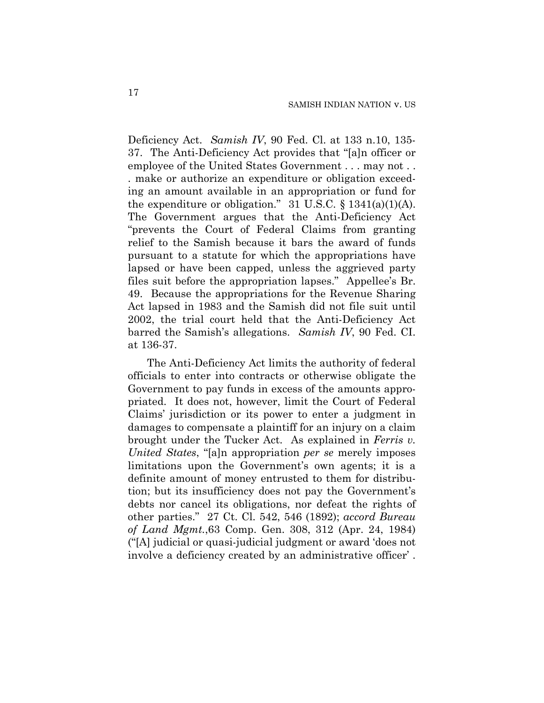Deficiency Act. *Samish IV*, 90 Fed. Cl. at 133 n.10, 135- 37. The Anti-Deficiency Act provides that "[a]n officer or employee of the United States Government . . . may not . . . make or authorize an expenditure or obligation exceeding an amount available in an appropriation or fund for the expenditure or obligation." 31 U.S.C.  $\S$  1341(a)(1)(A). The Government argues that the Anti-Deficiency Act "prevents the Court of Federal Claims from granting relief to the Samish because it bars the award of funds pursuant to a statute for which the appropriations have lapsed or have been capped, unless the aggrieved party files suit before the appropriation lapses." Appellee's Br. 49. Because the appropriations for the Revenue Sharing Act lapsed in 1983 and the Samish did not file suit until 2002, the trial court held that the Anti-Deficiency Act barred the Samish's allegations. *Samish IV*, 90 Fed. CI. at 136-37.

The Anti-Deficiency Act limits the authority of federal officials to enter into contracts or otherwise obligate the Government to pay funds in excess of the amounts appropriated. It does not, however, limit the Court of Federal Claims' jurisdiction or its power to enter a judgment in damages to compensate a plaintiff for an injury on a claim brought under the Tucker Act. As explained in *Ferris v. United States*, "[a]n appropriation *per se* merely imposes limitations upon the Government's own agents; it is a definite amount of money entrusted to them for distribution; but its insufficiency does not pay the Government's debts nor cancel its obligations, nor defeat the rights of other parties." 27 Ct. Cl. 542, 546 (1892); *accord Bureau of Land Mgmt.*,63 Comp. Gen. 308, 312 (Apr. 24, 1984) ("[A] judicial or quasi-judicial judgment or award 'does not involve a deficiency created by an administrative officer' .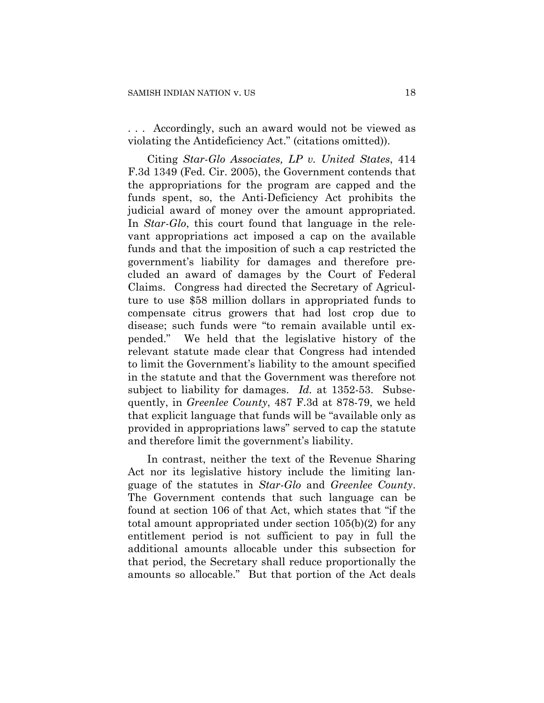. . . Accordingly, such an award would not be viewed as violating the Antideficiency Act." (citations omitted)).

Citing *Star-Glo Associates, LP v. United States*, 414 F.3d 1349 (Fed. Cir. 2005), the Government contends that the appropriations for the program are capped and the funds spent, so, the Anti-Deficiency Act prohibits the judicial award of money over the amount appropriated. In *Star-Glo*, this court found that language in the relevant appropriations act imposed a cap on the available funds and that the imposition of such a cap restricted the government's liability for damages and therefore precluded an award of damages by the Court of Federal Claims. Congress had directed the Secretary of Agriculture to use \$58 million dollars in appropriated funds to compensate citrus growers that had lost crop due to disease; such funds were "to remain available until expended." We held that the legislative history of the relevant statute made clear that Congress had intended to limit the Government's liability to the amount specified in the statute and that the Government was therefore not subject to liability for damages. *Id.* at 1352-53. Subsequently, in *Greenlee County*, 487 F.3d at 878-79, we held that explicit language that funds will be "available only as provided in appropriations laws" served to cap the statute and therefore limit the government's liability.

In contrast, neither the text of the Revenue Sharing Act nor its legislative history include the limiting language of the statutes in *Star-Glo* and *Greenlee County*. The Government contends that such language can be found at section 106 of that Act, which states that "if the total amount appropriated under section 105(b)(2) for any entitlement period is not sufficient to pay in full the additional amounts allocable under this subsection for that period, the Secretary shall reduce proportionally the amounts so allocable." But that portion of the Act deals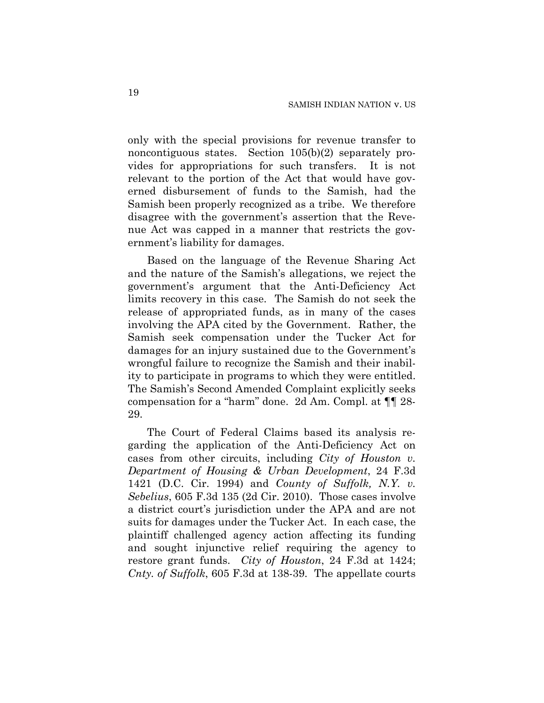only with the special provisions for revenue transfer to noncontiguous states. Section 105(b)(2) separately provides for appropriations for such transfers. It is not relevant to the portion of the Act that would have governed disbursement of funds to the Samish, had the Samish been properly recognized as a tribe. We therefore disagree with the government's assertion that the Revenue Act was capped in a manner that restricts the government's liability for damages.

Based on the language of the Revenue Sharing Act and the nature of the Samish's allegations, we reject the government's argument that the Anti-Deficiency Act limits recovery in this case. The Samish do not seek the release of appropriated funds, as in many of the cases involving the APA cited by the Government. Rather, the Samish seek compensation under the Tucker Act for damages for an injury sustained due to the Government's wrongful failure to recognize the Samish and their inability to participate in programs to which they were entitled. The Samish's Second Amended Complaint explicitly seeks compensation for a "harm" done. 2d Am. Compl. at ¶¶ 28- 29.

The Court of Federal Claims based its analysis regarding the application of the Anti-Deficiency Act on cases from other circuits, including *City of Houston v. Department of Housing & Urban Development*, 24 F.3d 1421 (D.C. Cir. 1994) and *County of Suffolk, N.Y. v. Sebelius*, 605 F.3d 135 (2d Cir. 2010). Those cases involve a district court's jurisdiction under the APA and are not suits for damages under the Tucker Act. In each case, the plaintiff challenged agency action affecting its funding and sought injunctive relief requiring the agency to restore grant funds. *City of Houston*, 24 F.3d at 1424; *Cnty. of Suffolk*, 605 F.3d at 138-39. The appellate courts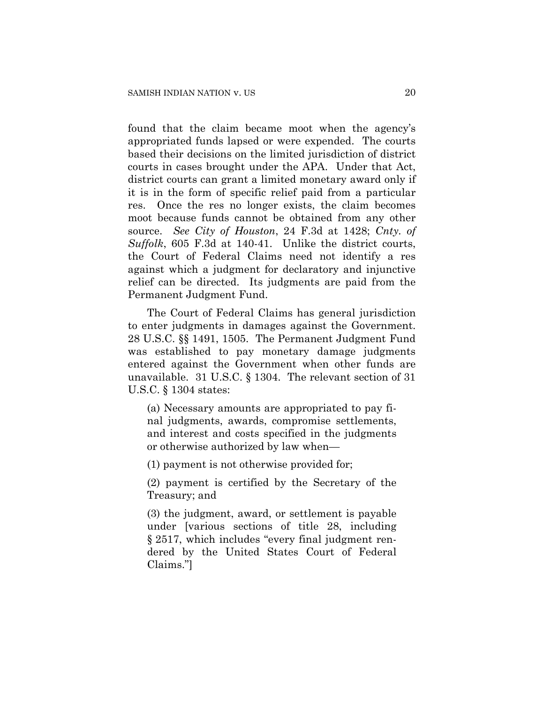found that the claim became moot when the agency's appropriated funds lapsed or were expended. The courts based their decisions on the limited jurisdiction of district courts in cases brought under the APA. Under that Act, district courts can grant a limited monetary award only if it is in the form of specific relief paid from a particular res. Once the res no longer exists, the claim becomes moot because funds cannot be obtained from any other source. *See City of Houston*, 24 F.3d at 1428; *Cnty. of Suffolk*, 605 F.3d at 140-41. Unlike the district courts, the Court of Federal Claims need not identify a res against which a judgment for declaratory and injunctive relief can be directed. Its judgments are paid from the Permanent Judgment Fund.

The Court of Federal Claims has general jurisdiction to enter judgments in damages against the Government. 28 U.S.C. §§ 1491, 1505. The Permanent Judgment Fund was established to pay monetary damage judgments entered against the Government when other funds are unavailable. 31 U.S.C. § 1304. The relevant section of 31 U.S.C. § 1304 states:

(a) Necessary amounts are appropriated to pay final judgments, awards, compromise settlements, and interest and costs specified in the judgments or otherwise authorized by law when—

(1) payment is not otherwise provided for;

(2) payment is certified by the Secretary of the Treasury; and

(3) the judgment, award, or settlement is payable under [various sections of title 28, including § 2517, which includes "every final judgment rendered by the United States Court of Federal Claims."]